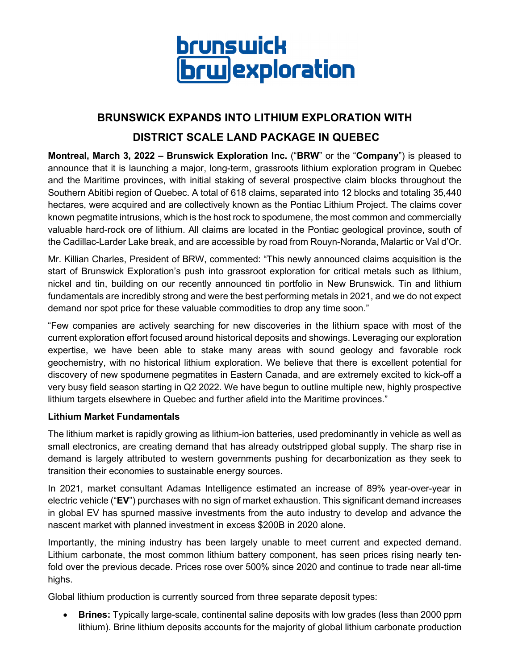

# **BRUNSWICK EXPANDS INTO LITHIUM EXPLORATION WITH**

## **DISTRICT SCALE LAND PACKAGE IN QUEBEC**

**Montreal, March 3, 2022 – Brunswick Exploration Inc.** ("**BRW**" or the "**Company**") is pleased to announce that it is launching a major, long-term, grassroots lithium exploration program in Quebec and the Maritime provinces, with initial staking of several prospective claim blocks throughout the Southern Abitibi region of Quebec. A total of 618 claims, separated into 12 blocks and totaling 35,440 hectares, were acquired and are collectively known as the Pontiac Lithium Project. The claims cover known pegmatite intrusions, which is the host rock to spodumene, the most common and commercially valuable hard-rock ore of lithium. All claims are located in the Pontiac geological province, south of the Cadillac-Larder Lake break, and are accessible by road from Rouyn-Noranda, Malartic or Val d'Or.

Mr. Killian Charles, President of BRW, commented: "This newly announced claims acquisition is the start of Brunswick Exploration's push into grassroot exploration for critical metals such as lithium, nickel and tin, building on our recently announced tin portfolio in New Brunswick. Tin and lithium fundamentals are incredibly strong and were the best performing metals in 2021, and we do not expect demand nor spot price for these valuable commodities to drop any time soon."

"Few companies are actively searching for new discoveries in the lithium space with most of the current exploration effort focused around historical deposits and showings. Leveraging our exploration expertise, we have been able to stake many areas with sound geology and favorable rock geochemistry, with no historical lithium exploration. We believe that there is excellent potential for discovery of new spodumene pegmatites in Eastern Canada, and are extremely excited to kick-off a very busy field season starting in Q2 2022. We have begun to outline multiple new, highly prospective lithium targets elsewhere in Quebec and further afield into the Maritime provinces."

### **Lithium Market Fundamentals**

The lithium market is rapidly growing as lithium-ion batteries, used predominantly in vehicle as well as small electronics, are creating demand that has already outstripped global supply. The sharp rise in demand is largely attributed to western governments pushing for decarbonization as they seek to transition their economies to sustainable energy sources.

In 2021, market consultant Adamas Intelligence estimated an increase of 89% year-over-year in electric vehicle ("**EV**") purchases with no sign of market exhaustion. This significant demand increases in global EV has spurned massive investments from the auto industry to develop and advance the nascent market with planned investment in excess \$200B in 2020 alone.

Importantly, the mining industry has been largely unable to meet current and expected demand. Lithium carbonate, the most common lithium battery component, has seen prices rising nearly tenfold over the previous decade. Prices rose over 500% since 2020 and continue to trade near all-time highs.

Global lithium production is currently sourced from three separate deposit types:

• **Brines:** Typically large-scale, continental saline deposits with low grades (less than 2000 ppm lithium). Brine lithium deposits accounts for the majority of global lithium carbonate production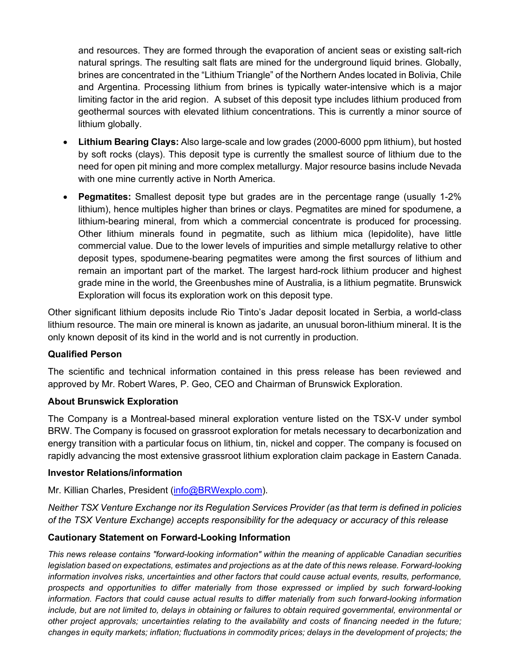and resources. They are formed through the evaporation of ancient seas or existing salt-rich natural springs. The resulting salt flats are mined for the underground liquid brines. Globally, brines are concentrated in the "Lithium Triangle" of the Northern Andes located in Bolivia, Chile and Argentina. Processing lithium from brines is typically water-intensive which is a major limiting factor in the arid region. A subset of this deposit type includes lithium produced from geothermal sources with elevated lithium concentrations. This is currently a minor source of lithium globally.

- **Lithium Bearing Clays:** Also large-scale and low grades (2000-6000 ppm lithium), but hosted by soft rocks (clays). This deposit type is currently the smallest source of lithium due to the need for open pit mining and more complex metallurgy. Major resource basins include Nevada with one mine currently active in North America.
- **Pegmatites:** Smallest deposit type but grades are in the percentage range (usually 1-2% lithium), hence multiples higher than brines or clays. Pegmatites are mined for spodumene, a lithium-bearing mineral, from which a commercial concentrate is produced for processing. Other lithium minerals found in pegmatite, such as lithium mica (lepidolite), have little commercial value. Due to the lower levels of impurities and simple metallurgy relative to other deposit types, spodumene-bearing pegmatites were among the first sources of lithium and remain an important part of the market. The largest hard-rock lithium producer and highest grade mine in the world, the Greenbushes mine of Australia, is a lithium pegmatite. Brunswick Exploration will focus its exploration work on this deposit type.

Other significant lithium deposits include Rio Tinto's Jadar deposit located in Serbia, a world-class lithium resource. The main ore mineral is known as jadarite, an unusual boron-lithium mineral. It is the only known deposit of its kind in the world and is not currently in production.

### **Qualified Person**

The scientific and technical information contained in this press release has been reviewed and approved by Mr. Robert Wares, P. Geo, CEO and Chairman of Brunswick Exploration.

### **About Brunswick Exploration**

The Company is a Montreal-based mineral exploration venture listed on the TSX-V under symbol BRW. The Company is focused on grassroot exploration for metals necessary to decarbonization and energy transition with a particular focus on lithium, tin, nickel and copper. The company is focused on rapidly advancing the most extensive grassroot lithium exploration claim package in Eastern Canada.

#### **Investor Relations/information**

Mr. Killian Charles, President [\(info@BRWexplo.com\)](mailto:info@BRWexplo.com).

*Neither TSX Venture Exchange nor its Regulation Services Provider (as that term is defined in policies of the TSX Venture Exchange) accepts responsibility for the adequacy or accuracy of this release*

### **Cautionary Statement on Forward-Looking Information**

*This news release contains "forward-looking information" within the meaning of applicable Canadian securities legislation based on expectations, estimates and projections as at the date of this news release. Forward-looking information involves risks, uncertainties and other factors that could cause actual events, results, performance, prospects and opportunities to differ materially from those expressed or implied by such forward-looking information. Factors that could cause actual results to differ materially from such forward-looking information include, but are not limited to, delays in obtaining or failures to obtain required governmental, environmental or other project approvals; uncertainties relating to the availability and costs of financing needed in the future; changes in equity markets; inflation; fluctuations in commodity prices; delays in the development of projects; the*